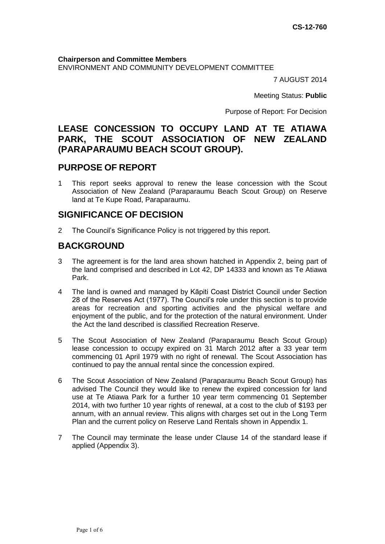**Chairperson and Committee Members** ENVIRONMENT AND COMMUNITY DEVELOPMENT COMMITTEE

7 AUGUST 2014

Meeting Status: **Public**

Purpose of Report: For Decision

## **LEASE CONCESSION TO OCCUPY LAND AT TE ATIAWA PARK, THE SCOUT ASSOCIATION OF NEW ZEALAND (PARAPARAUMU BEACH SCOUT GROUP).**

## **PURPOSE OF REPORT**

1 This report seeks approval to renew the lease concession with the Scout Association of New Zealand (Paraparaumu Beach Scout Group) on Reserve land at Te Kupe Road, Paraparaumu.

## **SIGNIFICANCE OF DECISION**

2 The Council's Significance Policy is not triggered by this report.

# **BACKGROUND**

- 3 The agreement is for the land area shown hatched in Appendix 2, being part of the land comprised and described in Lot 42, DP 14333 and known as Te Atiawa Park.
- 4 The land is owned and managed by Kāpiti Coast District Council under Section 28 of the Reserves Act (1977). The Council's role under this section is to provide areas for recreation and sporting activities and the physical welfare and enjoyment of the public, and for the protection of the natural environment. Under the Act the land described is classified Recreation Reserve.
- 5 The Scout Association of New Zealand (Paraparaumu Beach Scout Group) lease concession to occupy expired on 31 March 2012 after a 33 year term commencing 01 April 1979 with no right of renewal. The Scout Association has continued to pay the annual rental since the concession expired.
- 6 The Scout Association of New Zealand (Paraparaumu Beach Scout Group) has advised The Council they would like to renew the expired concession for land use at Te Atiawa Park for a further 10 year term commencing 01 September 2014, with two further 10 year rights of renewal, at a cost to the club of \$193 per annum, with an annual review. This aligns with charges set out in the Long Term Plan and the current policy on Reserve Land Rentals shown in Appendix 1.
- 7 The Council may terminate the lease under Clause 14 of the standard lease if applied (Appendix 3).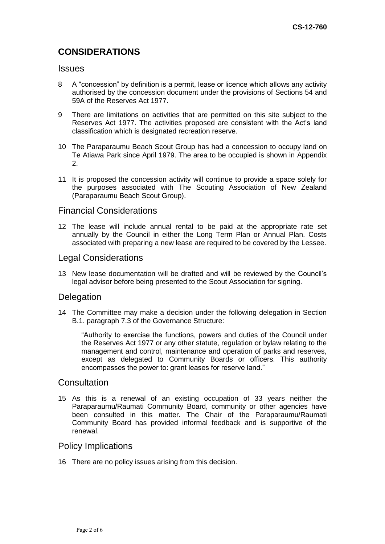# **CONSIDERATIONS**

#### **Issues**

- 8 A "concession" by definition is a permit, lease or licence which allows any activity authorised by the concession document under the provisions of Sections 54 and 59A of the Reserves Act 1977.
- 9 There are limitations on activities that are permitted on this site subject to the Reserves Act 1977. The activities proposed are consistent with the Act's land classification which is designated recreation reserve.
- 10 The Paraparaumu Beach Scout Group has had a concession to occupy land on Te Atiawa Park since April 1979. The area to be occupied is shown in Appendix 2.
- 11 It is proposed the concession activity will continue to provide a space solely for the purposes associated with The Scouting Association of New Zealand (Paraparaumu Beach Scout Group).

#### Financial Considerations

12 The lease will include annual rental to be paid at the appropriate rate set annually by the Council in either the Long Term Plan or Annual Plan. Costs associated with preparing a new lease are required to be covered by the Lessee.

### Legal Considerations

13 New lease documentation will be drafted and will be reviewed by the Council's legal advisor before being presented to the Scout Association for signing.

#### **Delegation**

14 The Committee may make a decision under the following delegation in Section B.1. paragraph 7.3 of the Governance Structure:

"Authority to exercise the functions, powers and duties of the Council under the Reserves Act 1977 or any other statute, regulation or bylaw relating to the management and control, maintenance and operation of parks and reserves, except as delegated to Community Boards or officers. This authority encompasses the power to: grant leases for reserve land."

### **Consultation**

15 As this is a renewal of an existing occupation of 33 years neither the Paraparaumu/Raumati Community Board, community or other agencies have been consulted in this matter. The Chair of the Paraparaumu/Raumati Community Board has provided informal feedback and is supportive of the renewal.

#### Policy Implications

16 There are no policy issues arising from this decision.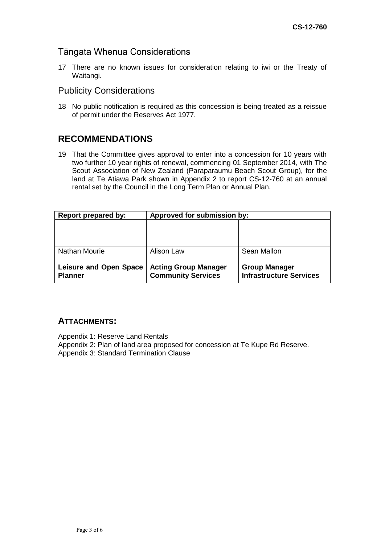### Tāngata Whenua Considerations

17 There are no known issues for consideration relating to iwi or the Treaty of Waitangi.

### Publicity Considerations

18 No public notification is required as this concession is being treated as a reissue of permit under the Reserves Act 1977.

## **RECOMMENDATIONS**

19 That the Committee gives approval to enter into a concession for 10 years with two further 10 year rights of renewal, commencing 01 September 2014, with The Scout Association of New Zealand (Paraparaumu Beach Scout Group), for the land at Te Atiawa Park shown in Appendix 2 to report CS-12-760 at an annual rental set by the Council in the Long Term Plan or Annual Plan.

| Report prepared by:                             | Approved for submission by:                              |                                                        |
|-------------------------------------------------|----------------------------------------------------------|--------------------------------------------------------|
|                                                 |                                                          |                                                        |
|                                                 |                                                          |                                                        |
| <b>Nathan Mourie</b>                            | Alison Law                                               | Sean Mallon                                            |
|                                                 |                                                          |                                                        |
| <b>Leisure and Open Space</b><br><b>Planner</b> | <b>Acting Group Manager</b><br><b>Community Services</b> | <b>Group Manager</b><br><b>Infrastructure Services</b> |

#### **ATTACHMENTS:**

Appendix 1: Reserve Land Rentals

Appendix 2: Plan of land area proposed for concession at Te Kupe Rd Reserve. Appendix 3: Standard Termination Clause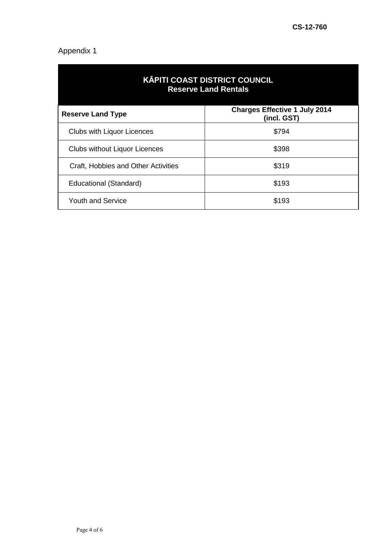# Appendix 1

| <b>KĀPITI COAST DISTRICT COUNCIL</b><br><b>Reserve Land Rentals</b> |                                                     |  |  |
|---------------------------------------------------------------------|-----------------------------------------------------|--|--|
| <b>Reserve Land Type</b>                                            | <b>Charges Effective 1 July 2014</b><br>(incl. GST) |  |  |
| <b>Clubs with Liquor Licences</b>                                   | \$794                                               |  |  |
| <b>Clubs without Liquor Licences</b>                                | \$398                                               |  |  |
| Craft, Hobbies and Other Activities                                 | \$319                                               |  |  |
| Educational (Standard)                                              | \$193                                               |  |  |
| <b>Youth and Service</b>                                            | \$193                                               |  |  |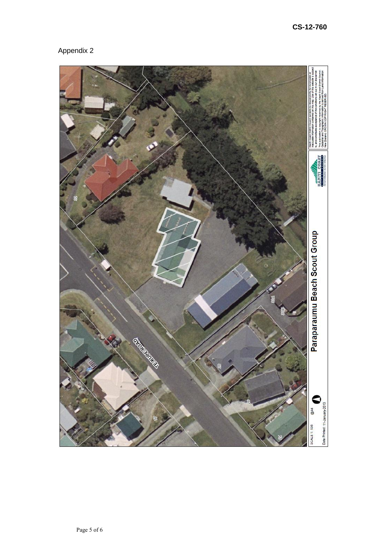# Appendix 2